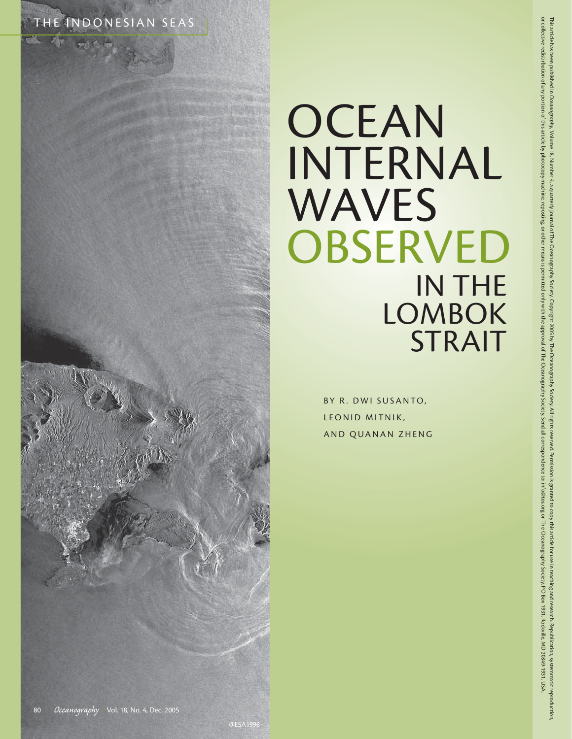

# **OCEAN** INTERNAL WAVES **OBSERVED** IN THE **LOMBOK** STRAIT

BY R. DWI SUSANTO, LEONID MITNIK, AND QUANAN ZHENG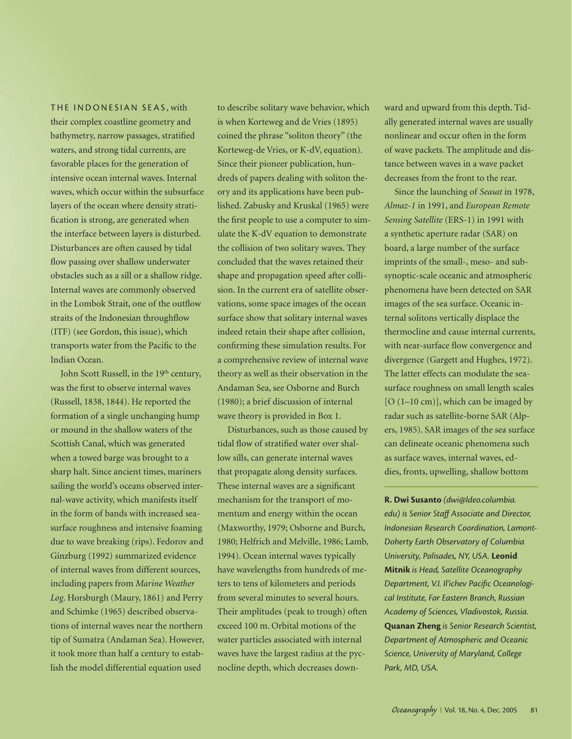THE INDONESIAN SEAS , with

their complex coastline geometry and bathymetry, narrow passages, stratified waters, and strong tidal currents, are favorable places for the generation of intensive ocean internal waves. Internal waves, which occur within the subsurface layers of the ocean where density stratification is strong, are generated when the interface between layers is disturbed. Disturbances are often caused by tidal flow passing over shallow underwater obstacles such as a sill or a shallow ridge. Internal waves are commonly observed in the Lombok Strait, one of the outflow straits of the Indonesian throughflow (ITF) (see Gordon, this issue), which transports water from the Pacific to the Indian Ocean.

John Scott Russell, in the 19<sup>th</sup> century, was the first to observe internal waves (Russell, 1838, 1844). He reported the formation of a single unchanging hump or mound in the shallow waters of the Scottish Canal, which was generated when a towed barge was brought to a sharp halt. Since ancient times, mariners sailing the world's oceans observed internal-wave activity, which manifests itself in the form of bands with increased seasurface roughness and intensive foaming due to wave breaking (rips). Fedorov and Ginzburg (1992) summarized evidence of internal waves from different sources, including papers from *Marine Weather Log*. Horsburgh (Maury, 1861) and Perry and Schimke (1965) described observations of internal waves near the northern tip of Sumatra (Andaman Sea). However, it took more than half a century to establish the model differential equation used

to describe solitary wave behavior, which is when Korteweg and de Vries (1895) coined the phrase "soliton theory" (the Korteweg-de Vries, or K-dV, equation). Since their pioneer publication, hundreds of papers dealing with soliton theory and its applications have been published. Zabusky and Kruskal (1965) were the first people to use a computer to simulate the K-dV equation to demonstrate the collision of two solitary waves. They concluded that the waves retained their shape and propagation speed after collision. In the current era of satellite observations, some space images of the ocean surface show that solitary internal waves indeed retain their shape after collision, confirming these simulation results. For a comprehensive review of internal wave theory as well as their observation in the Andaman Sea, see Osborne and Burch (1980); a brief discussion of internal wave theory is provided in Box 1.

Disturbances, such as those caused by tidal flow of stratified water over shallow sills, can generate internal waves that propagate along density surfaces. These internal waves are a significant mechanism for the transport of momentum and energy within the ocean (Maxworthy, 1979; Osborne and Burch, 1980; Helfrich and Melville, 1986; Lamb*,* 1994). Ocean internal waves typically have wavelengths from hundreds of meters to tens of kilometers and periods from several minutes to several hours. Their amplitudes (peak to trough) often exceed 100 m. Orbital motions of the water particles associated with internal waves have the largest radius at the pycnocline depth, which decreases downward and upward from this depth. Tidally generated internal waves are usually nonlinear and occur often in the form of wave packets. The amplitude and distance between waves in a wave packet decreases from the front to the rear.

Since the launching of *Seasat* in 1978, *Almaz-1* in 1991, and *European Remote Sensing Satellite* (ERS-1) in 1991 with a synthetic aperture radar (SAR) on board, a large number of the surface imprints of the small-, meso- and subsynoptic-scale oceanic and atmospheric phenomena have been detected on SAR images of the sea surface. Oceanic internal solitons vertically displace the thermocline and cause internal currents, with near-surface flow convergence and divergence (Gargett and Hughes, 1972). The latter effects can modulate the seasurface roughness on small length scales  $[O (1-10 cm)]$ , which can be imaged by radar such as satellite-borne SAR (Alpers, 1985). SAR images of the sea surface can delineate oceanic phenomena such as surface waves, internal waves, eddies, fronts, upwelling, shallow bottom

**R. Dwi Susanto** *(dwi@ldeo.columbia. edu) is Senior Staff Associate and Director, Indonesian Research Coordination, Lamont-Doherty Earth Observatory of Columbia University, Palisades, NY, USA.* **Leonid Mitnik** *is Head, Satellite Oceanography*  Department, V.I. Il'ichev Pacific Oceanologi*cal Institute, Far Eastern Branch, Russian Academy of Sciences, Vladivostok, Russia.*  **Quanan Zheng** *is Senior Research Scientist, Department of Atmospheric and Oceanic Science, University of Maryland, College Park, MD, USA.*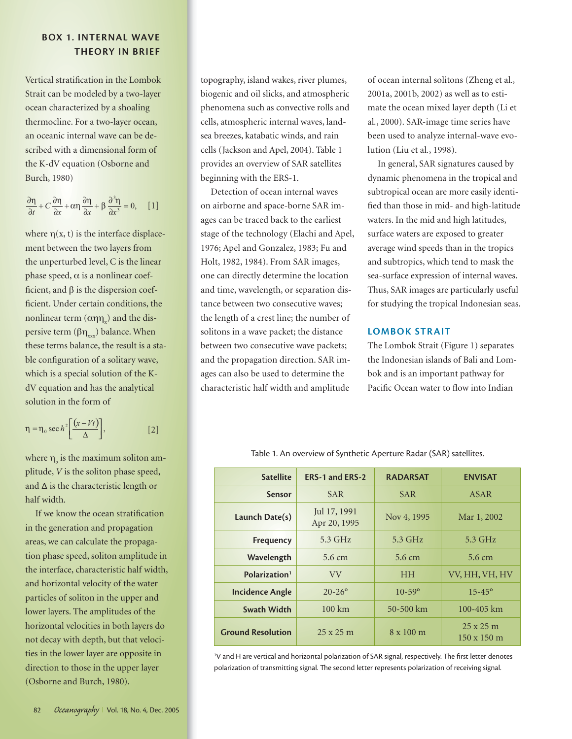## **BOX 1. INTERNAL WAVE THEORY IN BRIEF**

Vertical stratification in the Lombok Strait can be modeled by a two-layer ocean characterized by a shoaling thermocline. For a two-layer ocean, an oceanic internal wave can be described with a dimensional form of the K-dV equation (Osborne and Burch, 1980)

$$
\frac{\partial \eta}{\partial t} + C \frac{\partial \eta}{\partial x} + \alpha \eta \frac{\partial \eta}{\partial x} + \beta \frac{\partial^3 \eta}{\partial x^3} = 0, \quad [1]
$$

where  $\eta(x, t)$  is the interface displacement between the two layers from the unperturbed level, C is the linear phase speed,  $\alpha$  is a nonlinear coefficient, and  $\beta$  is the dispersion coefficient. Under certain conditions, the nonlinear term  $(\alpha \eta \eta_x)$  and the dispersive term ( $βη<sub>xx</sub>$ ) balance. When these terms balance, the result is a stable configuration of a solitary wave, which is a special solution of the KdV equation and has the analytical solution in the form of

$$
\eta = \eta_0 \sec h^2 \left[ \frac{(x - Vt)}{\Delta} \right],
$$
 [2]

where  $\eta_{\rho}$  is the maximum soliton amplitude, *V* is the soliton phase speed, and ∆ is the characteristic length or half width.

If we know the ocean stratification in the generation and propagation areas, we can calculate the propagation phase speed, soliton amplitude in the interface, characteristic half width, and horizontal velocity of the water particles of soliton in the upper and lower layers. The amplitudes of the horizontal velocities in both layers do not decay with depth, but that velocities in the lower layer are opposite in direction to those in the upper layer (Osborne and Burch, 1980).

topography, island wakes, river plumes, biogenic and oil slicks, and atmospheric phenomena such as convective rolls and cells, atmospheric internal waves, landsea breezes, katabatic winds, and rain cells (Jackson and Apel, 2004). Table 1 provides an overview of SAR satellites beginning with the ERS-1.

Detection of ocean internal waves on airborne and space-borne SAR images can be traced back to the earliest stage of the technology (Elachi and Apel, 1976; Apel and Gonzalez, 1983; Fu and Holt, 1982, 1984). From SAR images, one can directly determine the location and time, wavelength, or separation distance between two consecutive waves; the length of a crest line; the number of solitons in a wave packet; the distance between two consecutive wave packets; and the propagation direction. SAR images can also be used to determine the characteristic half width and amplitude

of ocean internal solitons (Zheng et al*.,* 2001a, 2001b, 2002) as well as to estimate the ocean mixed layer depth (Li et al*.*, 2000). SAR-image time series have been used to analyze internal-wave evolution (Liu et al*.*, 1998).

In general, SAR signatures caused by dynamic phenomena in the tropical and subtropical ocean are more easily identified than those in mid- and high-latitude waters. In the mid and high latitudes, surface waters are exposed to greater average wind speeds than in the tropics and subtropics, which tend to mask the sea-surface expression of internal waves. Thus, SAR images are particularly useful for studying the tropical Indonesian seas.

## **LOMBOK STRAIT**

The Lombok Strait (Figure 1) separates the Indonesian islands of Bali and Lombok and is an important pathway for Pacific Ocean water to flow into Indian

| <b>Satellite</b>          | ERS-1 and ERS-2              | <b>RADARSAT</b>  | <b>ENVISAT</b>                         |
|---------------------------|------------------------------|------------------|----------------------------------------|
| <b>Sensor</b>             | <b>SAR</b>                   | <b>SAR</b>       | <b>ASAR</b>                            |
| Launch Date(s)            | Jul 17, 1991<br>Apr 20, 1995 | Nov 4, 1995      | Mar 1, 2002                            |
| Frequency                 | $5.3$ GHz                    | $5.3$ GHz        | $5.3$ GHz                              |
| Wavelength                | 5.6 cm                       | 5.6 cm           | 5.6 cm                                 |
| Polarization <sup>1</sup> | <b>VV</b>                    | <b>HH</b>        | VV, HH, VH, HV                         |
| <b>Incidence Angle</b>    | $20 - 26^{\circ}$            | $10 - 59$ °      | $15 - 45^{\circ}$                      |
| Swath Width               | $100 \mathrm{km}$            | $50 - 500$ km    | $100 - 405$ km                         |
| <b>Ground Resolution</b>  | $25 \times 25$ m             | $8 \times 100$ m | $25 \times 25$ m<br>$150 \times 150$ m |

Table 1. An overview of Synthetic Aperture Radar (SAR) satellites.

<sup>1</sup>V and H are vertical and horizontal polarization of SAR signal, respectively. The first letter denotes polarization of transmitting signal. The second letter represents polarization of receiving signal.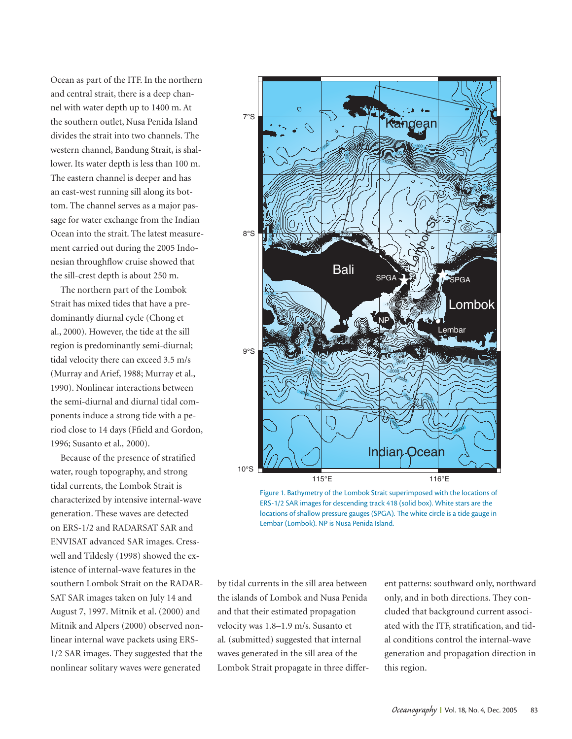Ocean as part of the ITF. In the northern and central strait, there is a deep channel with water depth up to 1400 m. At the southern outlet, Nusa Penida Island divides the strait into two channels. The western channel, Bandung Strait, is shallower. Its water depth is less than 100 m. The eastern channel is deeper and has an east-west running sill along its bottom. The channel serves as a major passage for water exchange from the Indian Ocean into the strait. The latest measurement carried out during the 2005 Indonesian throughflow cruise showed that the sill-crest depth is about 250 m.

The northern part of the Lombok Strait has mixed tides that have a predominantly diurnal cycle (Chong et al., 2000). However, the tide at the sill region is predominantly semi-diurnal; tidal velocity there can exceed 3.5 m/s (Murray and Arief, 1988; Murray et al., 1990). Nonlinear interactions between the semi-diurnal and diurnal tidal components induce a strong tide with a period close to 14 days (Ffield and Gordon, 1996; Susanto et al*.,* 2000).

Because of the presence of stratified water, rough topography, and strong tidal currents, the Lombok Strait is characterized by intensive internal-wave generation. These waves are detected on ERS-1/2 and RADARSAT SAR and ENVISAT advanced SAR images. Cresswell and Tildesly (1998) showed the existence of internal-wave features in the southern Lombok Strait on the RADAR-SAT SAR images taken on July 14 and August 7, 1997. Mitnik et al. (2000) and Mitnik and Alpers (2000) observed nonlinear internal wave packets using ERS-1/2 SAR images. They suggested that the nonlinear solitary waves were generated



Figure 1. Bathymetry of the Lombok Strait superimposed with the locations of ERS-1/2 SAR images for descending track 418 (solid box). White stars are the locations of shallow pressure gauges (SPGA). The white circle is a tide gauge in Lembar (Lombok). NP is Nusa Penida Island.

by tidal currents in the sill area between the islands of Lombok and Nusa Penida and that their estimated propagation velocity was 1.8–1.9 m/s. Susanto et al*.* (submitted) suggested that internal waves generated in the sill area of the Lombok Strait propagate in three different patterns: southward only, northward only, and in both directions. They concluded that background current associated with the ITF, stratification, and tidal conditions control the internal-wave generation and propagation direction in this region.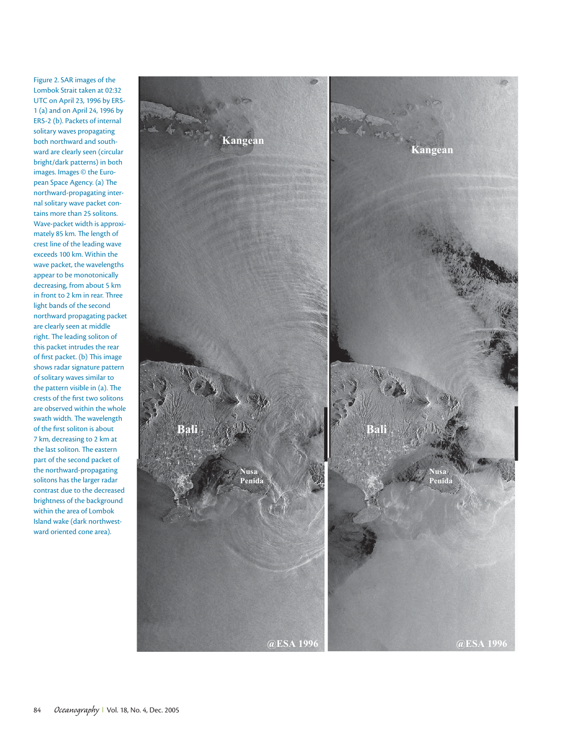Figure 2. SAR images of the Lombok Strait taken at 02:32 UTC on April 23, 1996 by ERS-1 (a) and on April 24, 1996 by ERS-2 (b). Packets of internal solitary waves propagating both northward and southward are clearly seen (circular bright/dark patterns) in both images. Images © the European Space Agency. (a) The northward-propagating internal solitary wave packet contains more than 25 solitons. Wave-packet width is approximately 85 km. The length of crest line of the leading wave exceeds 100 km. Within the wave packet, the wavelengths appear to be monotonically decreasing, from about 5 km in front to 2 km in rear. Three light bands of the second northward propagating packet are clearly seen at middle right. The leading soliton of this packet intrudes the rear of first packet. (b) This image shows radar signature pattern of solitary waves similar to the pattern visible in (a). The crests of the first two solitons are observed within the whole swath width. The wavelength of the first soliton is about 7 km, decreasing to 2 km at the last soliton. The eastern part of the second packet of the northward-propagating solitons has the larger radar contrast due to the decreased brightness of the background within the area of Lombok Island wake (dark northwestward oriented cone area).

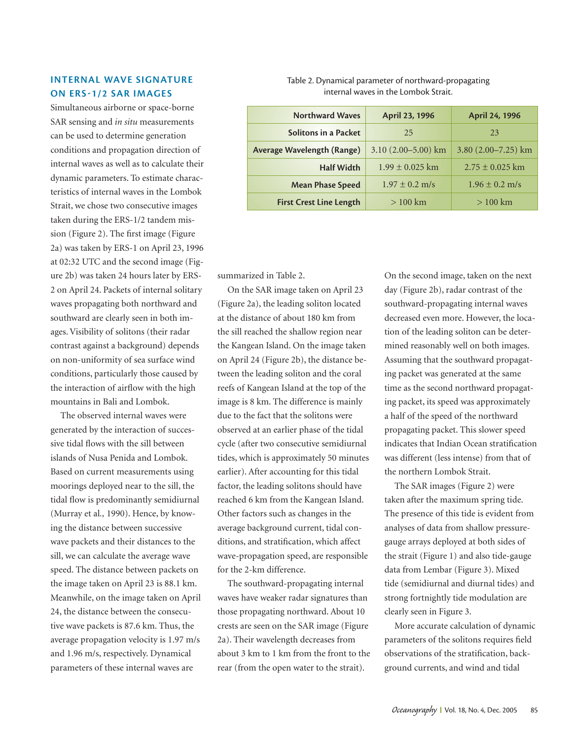## **INTERNAL WAVE SIGNATURE ON ERS1/2 SAR IMAGES**

Simultaneous airborne or space-borne SAR sensing and *in situ* measurements can be used to determine generation conditions and propagation direction of internal waves as well as to calculate their dynamic parameters. To estimate characteristics of internal waves in the Lombok Strait, we chose two consecutive images taken during the ERS-1/2 tandem mission (Figure 2). The first image (Figure 2a) was taken by ERS-1 on April 23, 1996 at 02:32 UTC and the second image (Figure 2b) was taken 24 hours later by ERS-2 on April 24. Packets of internal solitary waves propagating both northward and southward are clearly seen in both images. Visibility of solitons (their radar contrast against a background) depends on non-uniformity of sea surface wind conditions, particularly those caused by the interaction of airflow with the high mountains in Bali and Lombok.

The observed internal waves were generated by the interaction of successive tidal flows with the sill between islands of Nusa Penida and Lombok. Based on current measurements using moorings deployed near to the sill, the tidal flow is predominantly semidiurnal (Murray et al*.,* 1990). Hence, by knowing the distance between successive wave packets and their distances to the sill, we can calculate the average wave speed. The distance between packets on the image taken on April 23 is 88.1 km. Meanwhile, on the image taken on April 24, the distance between the consecutive wave packets is 87.6 km. Thus, the average propagation velocity is 1.97 m/s and 1.96 m/s, respectively. Dynamical parameters of these internal waves are

| <b>Northward Waves</b>            | April 23, 1996         | April 24, 1996          |
|-----------------------------------|------------------------|-------------------------|
| <b>Solitons in a Packet</b>       | 25                     | 23                      |
| <b>Average Wavelength (Range)</b> | $3.10(2.00 - 5.00)$ km | 3.80 $(2.00 - 7.25)$ km |
| <b>Half Width</b>                 | $1.99 \pm 0.025$ km    | $2.75 \pm 0.025$ km     |
| <b>Mean Phase Speed</b>           | $1.97 \pm 0.2$ m/s     | $1.96 \pm 0.2$ m/s      |

**First Crest Line Length**  $> 100 \text{ km}$   $> 100 \text{ km}$ 

Table 2. Dynamical parameter of northward-propagating internal waves in the Lombok Strait.

summarized in Table 2.

On the SAR image taken on April 23 (Figure 2a), the leading soliton located at the distance of about 180 km from the sill reached the shallow region near the Kangean Island. On the image taken on April 24 (Figure 2b), the distance between the leading soliton and the coral reefs of Kangean Island at the top of the image is 8 km. The difference is mainly due to the fact that the solitons were observed at an earlier phase of the tidal cycle (after two consecutive semidiurnal tides, which is approximately 50 minutes earlier). After accounting for this tidal factor, the leading solitons should have reached 6 km from the Kangean Island. Other factors such as changes in the average background current, tidal conditions, and stratification, which affect wave-propagation speed, are responsible for the 2-km difference.

The southward-propagating internal waves have weaker radar signatures than those propagating northward. About 10 crests are seen on the SAR image (Figure 2a). Their wavelength decreases from about 3 km to 1 km from the front to the rear (from the open water to the strait).

On the second image, taken on the next day (Figure 2b), radar contrast of the southward-propagating internal waves decreased even more. However, the location of the leading soliton can be determined reasonably well on both images. Assuming that the southward propagating packet was generated at the same time as the second northward propagating packet, its speed was approximately a half of the speed of the northward propagating packet. This slower speed indicates that Indian Ocean stratification was different (less intense) from that of the northern Lombok Strait.

The SAR images (Figure 2) were taken after the maximum spring tide. The presence of this tide is evident from analyses of data from shallow pressuregauge arrays deployed at both sides of the strait (Figure 1) and also tide-gauge data from Lembar (Figure 3). Mixed tide (semidiurnal and diurnal tides) and strong fortnightly tide modulation are clearly seen in Figure 3.

More accurate calculation of dynamic parameters of the solitons requires field observations of the stratification, background currents, and wind and tidal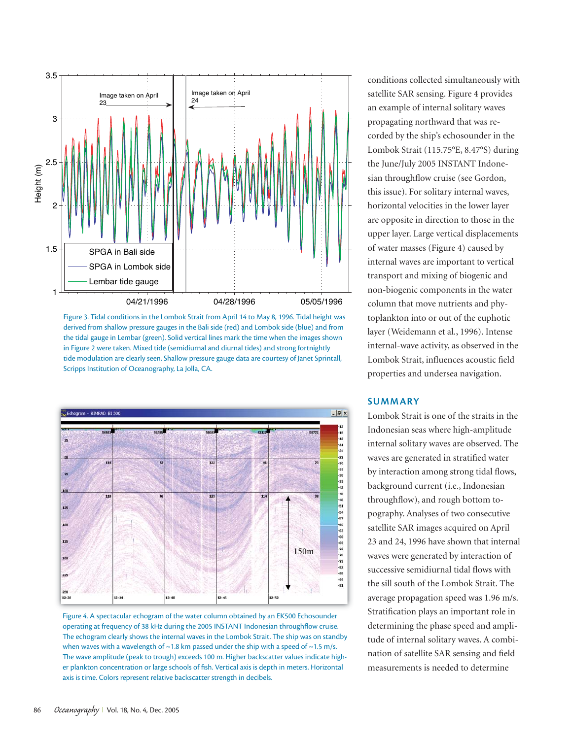

Figure 3. Tidal conditions in the Lombok Strait from April 14 to May 8, 1996. Tidal height was derived from shallow pressure gauges in the Bali side (red) and Lombok side (blue) and from the tidal gauge in Lembar (green). Solid vertical lines mark the time when the images shown in Figure 2 were taken. Mixed tide (semidiurnal and diurnal tides) and strong fortnightly tide modulation are clearly seen. Shallow pressure gauge data are courtesy of Janet Sprintall, Scripps Institution of Oceanography, La Jolla, CA.



Figure 4. A spectacular echogram of the water column obtained by an EK500 Echosounder operating at frequency of 38 kHz during the 2005 INSTANT Indonesian throughflow cruise. The echogram clearly shows the internal waves in the Lombok Strait. The ship was on standby when waves with a wavelength of  $\sim$  1.8 km passed under the ship with a speed of  $\sim$  1.5 m/s. The wave amplitude (peak to trough) exceeds 100 m. Higher backscatter values indicate higher plankton concentration or large schools of fish. Vertical axis is depth in meters. Horizontal axis is time. Colors represent relative backscatter strength in decibels.

conditions collected simultaneously with satellite SAR sensing. Figure 4 provides an example of internal solitary waves propagating northward that was recorded by the ship's echosounder in the Lombok Strait (115.75°E, 8.47°S) during the June/July 2005 INSTANT Indonesian throughflow cruise (see Gordon, this issue). For solitary internal waves, horizontal velocities in the lower layer are opposite in direction to those in the upper layer. Large vertical displacements of water masses (Figure 4) caused by internal waves are important to vertical transport and mixing of biogenic and non-biogenic components in the water column that move nutrients and phytoplankton into or out of the euphotic layer (Weidemann et al*.*, 1996). Intense internal-wave activity, as observed in the Lombok Strait, influences acoustic field properties and undersea navigation.

### **SUMMARY**

Lombok Strait is one of the straits in the Indonesian seas where high-amplitude internal solitary waves are observed. The waves are generated in stratified water by interaction among strong tidal flows, background current (i.e., Indonesian throughflow), and rough bottom topography. Analyses of two consecutive satellite SAR images acquired on April 23 and 24, 1996 have shown that internal waves were generated by interaction of successive semidiurnal tidal flows with the sill south of the Lombok Strait. The average propagation speed was 1.96 m/s. Stratification plays an important role in determining the phase speed and amplitude of internal solitary waves. A combination of satellite SAR sensing and field measurements is needed to determine